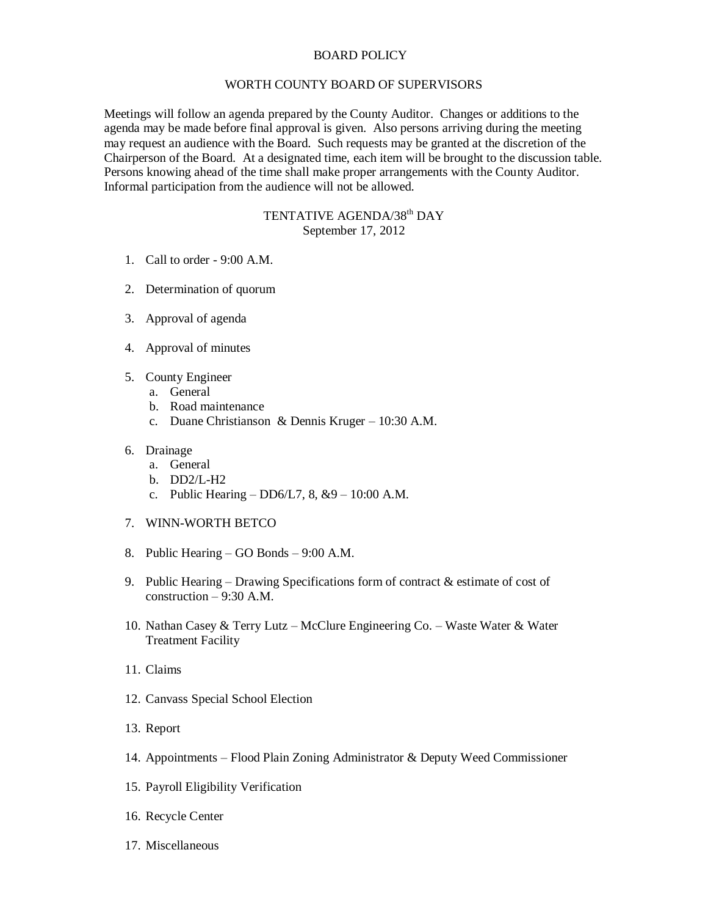## BOARD POLICY

## WORTH COUNTY BOARD OF SUPERVISORS

Meetings will follow an agenda prepared by the County Auditor. Changes or additions to the agenda may be made before final approval is given. Also persons arriving during the meeting may request an audience with the Board. Such requests may be granted at the discretion of the Chairperson of the Board. At a designated time, each item will be brought to the discussion table. Persons knowing ahead of the time shall make proper arrangements with the County Auditor. Informal participation from the audience will not be allowed.

## TENTATIVE AGENDA/38<sup>th</sup> DAY September 17, 2012

- 1. Call to order 9:00 A.M.
- 2. Determination of quorum
- 3. Approval of agenda
- 4. Approval of minutes
- 5. County Engineer
	- a. General
	- b. Road maintenance
	- c. Duane Christianson & Dennis Kruger 10:30 A.M.

## 6. Drainage

- a. General
- b. DD2/L-H2
- c. Public Hearing  $DD6/L7$ , 8,  $&9 10:00$  A.M.
- 7. WINN-WORTH BETCO
- 8. Public Hearing GO Bonds 9:00 A.M.
- 9. Public Hearing Drawing Specifications form of contract & estimate of cost of construction – 9:30 A.M.
- 10. Nathan Casey & Terry Lutz McClure Engineering Co. Waste Water & Water Treatment Facility
- 11. Claims
- 12. Canvass Special School Election
- 13. Report
- 14. Appointments Flood Plain Zoning Administrator & Deputy Weed Commissioner
- 15. Payroll Eligibility Verification
- 16. Recycle Center
- 17. Miscellaneous